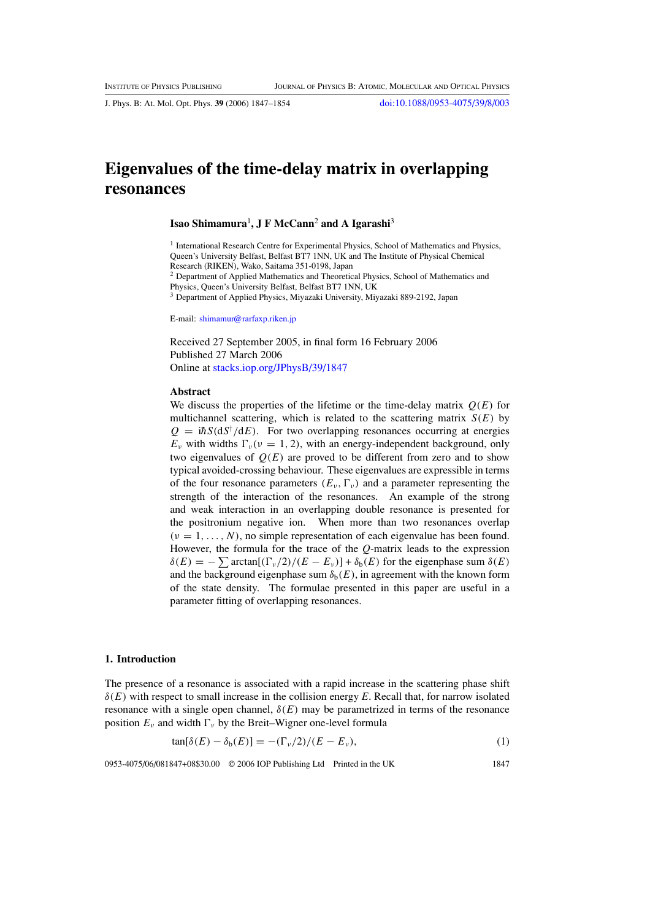<span id="page-0-0"></span>J. Phys. B: At. Mol. Opt. Phys. **39** (2006) 1847–1854 [doi:10.1088/0953-4075/39/8/003](http://dx.doi.org/10.1088/0953-4075/39/8/003)

# **Eigenvalues of the time-delay matrix in overlapping resonances**

## **Isao Shimamura**<sup>1</sup> **, J F McCann**<sup>2</sup> **and A Igarashi**<sup>3</sup>

<sup>1</sup> International Research Centre for Experimental Physics, School of Mathematics and Physics, Queen's University Belfast, Belfast BT7 1NN, UK and The Institute of Physical Chemical Research (RIKEN), Wako, Saitama 351-0198, Japan

<sup>2</sup> Department of Applied Mathematics and Theoretical Physics, School of Mathematics and Physics, Queen's University Belfast, Belfast BT7 1NN, UK

<sup>3</sup> Department of Applied Physics, Miyazaki University, Miyazaki 889-2192, Japan

E-mail: [shimamur@rarfaxp.riken.jp](mailto:shimamur@rarfaxp.riken.jp)

Received 27 September 2005, in final form 16 February 2006 Published 27 March 2006 Online at [stacks.iop.org/JPhysB/39/1847](http://stacks.iop.org/JPhysB/39/1847)

#### **Abstract**

We discuss the properties of the lifetime or the time-delay matrix  $Q(E)$  for multichannel scattering, which is related to the scattering matrix *S(E)* by  $Q = i\hbar S (dS^{\dagger}/dE)$ . For two overlapping resonances occurring at energies  $E_v$  with widths  $\Gamma_v(v = 1, 2)$ , with an energy-independent background, only two eigenvalues of  $Q(E)$  are proved to be different from zero and to show typical avoided-crossing behaviour. These eigenvalues are expressible in terms of the four resonance parameters  $(E_v, \Gamma_v)$  and a parameter representing the strength of the interaction of the resonances. An example of the strong and weak interaction in an overlapping double resonance is presented for the positronium negative ion. When more than two resonances overlap  $(\nu = 1, \ldots, N)$ , no simple representation of each eigenvalue has been found. However, the formula for the trace of the *Q*-matrix leads to the expression  $\delta(E) = -\sum \arctan[(\Gamma_{\nu}/2)/(E - E_{\nu})] + \delta_{\rm b}(E)$  for the eigenphase sum  $\delta(E)$ and the background eigenphase sum  $\delta_b(E)$ , in agreement with the known form of the state density. The formulae presented in this paper are useful in a parameter fitting of overlapping resonances.

### **1. Introduction**

The presence of a resonance is associated with a rapid increase in the scattering phase shift *δ(E)* with respect to small increase in the collision energy *E*. Recall that, for narrow isolated resonance with a single open channel,  $\delta(E)$  may be parametrized in terms of the resonance position  $E_\nu$  and width  $\Gamma_\nu$  by the Breit–Wigner one-level formula

$$
\tan[\delta(E) - \delta_b(E)] = -(\Gamma_\nu/2)/(E - E_\nu),\tag{1}
$$

0953-4075/06/081847+08\$30.00 © 2006 IOP Publishing Ltd Printed in the UK 1847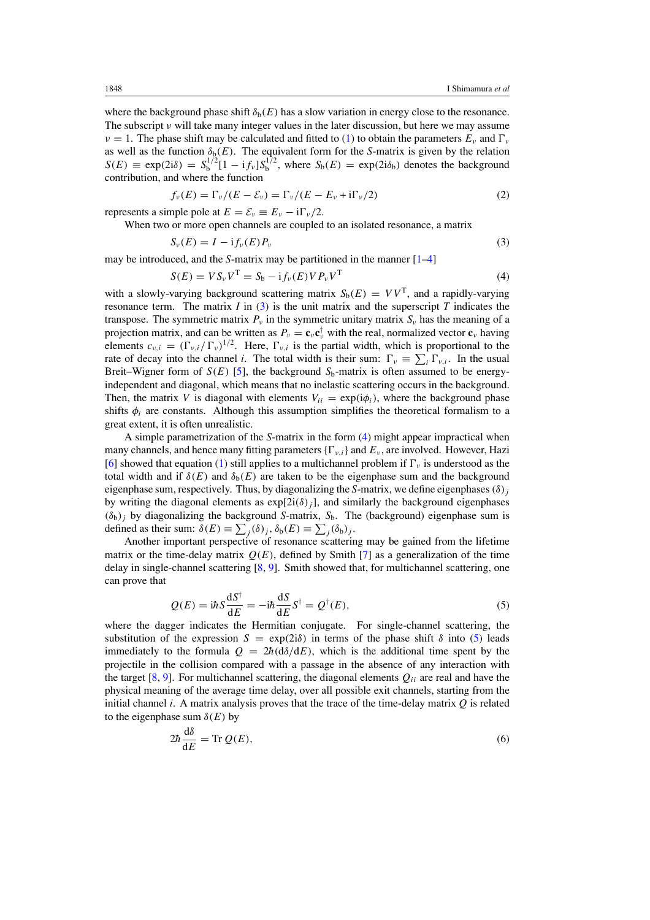<span id="page-1-0"></span>where the background phase shift  $\delta_b(E)$  has a slow variation in energy close to the resonance. The subscript *ν* will take many integer values in the later discussion, but here we may assume  $\nu = 1$ . The phase shift may be calculated and fitted to [\(1\)](#page-0-0) to obtain the parameters  $E_{\nu}$  and  $\Gamma_{\nu}$ as well as the function  $\delta_b(E)$ . The equivalent form for the *S*-matrix is given by the relation  $S(E) \equiv \exp(2i\delta) = S_b^{1/2} [1 - i f_v] S_b^{1/2}$ , where  $S_b(E) = \exp(2i\delta_b)$  denotes the background contribution, and where the function

$$
f_{\nu}(E) = \Gamma_{\nu}/(E - \mathcal{E}_{\nu}) = \Gamma_{\nu}/(E - E_{\nu} + i\Gamma_{\nu}/2)
$$
\n(2)

represents a simple pole at  $E = \mathcal{E}_v = E_v - i\Gamma_v/2$ .

d*δ*

When two or more open channels are coupled to an isolated resonance, a matrix

$$
S_{\nu}(E) = I - i f_{\nu}(E) P_{\nu}
$$
\n(3)

may be introduced, and the *S*-matrix may be partitioned in the manner [\[1–4](#page-7-0)]

$$
S(E) = VS_{\nu}V^{T} = S_{b} - if_{\nu}(E)VP_{\nu}V^{T}
$$
\n(4)

with a slowly-varying background scattering matrix  $S_b(E) = VV^T$ , and a rapidly-varying resonance term. The matrix  $I$  in  $(3)$  is the unit matrix and the superscript  $T$  indicates the transpose. The symmetric matrix  $P_\nu$  in the symmetric unitary matrix  $S_\nu$  has the meaning of a projection matrix, and can be written as  $P_v = \mathbf{c}_v \mathbf{c}_v^{\dagger}$  with the real, normalized vector  $\mathbf{c}_v$  having elements  $c_{v,i} = (\Gamma_{v,i}/\Gamma_v)^{1/2}$ . Here,  $\Gamma_{v,i}$  is the partial width, which is proportional to the rate of decay into the channel *i*. The total width is their sum:  $\Gamma_v \equiv \sum_i \Gamma_{v,i}$ . In the usual Breit–Wigner form of  $S(E)$  [\[5\]](#page-7-0), the background  $S_b$ -matrix is often assumed to be energyindependent and diagonal, which means that no inelastic scattering occurs in the background. Then, the matrix *V* is diagonal with elements  $V_{ii} = \exp(i\phi_i)$ , where the background phase shifts  $\phi_i$  are constants. Although this assumption simplifies the theoretical formalism to a great extent, it is often unrealistic.

A simple parametrization of the *S*-matrix in the form (4) might appear impractical when many channels, and hence many fitting parameters  $\{\Gamma_{v,i}\}$  and  $E_v$ , are involved. However, Hazi [\[6](#page-7-0)] showed that equation [\(1\)](#page-0-0) still applies to a multichannel problem if  $\Gamma_{\nu}$  is understood as the total width and if  $\delta(E)$  and  $\delta_b(E)$  are taken to be the eigenphase sum and the background eigenphase sum, respectively. Thus, by diagonalizing the *S*-matrix, we define eigenphases*(δ)j* by writing the diagonal elements as  $exp[2i(\delta)_i]$ , and similarly the background eigenphases  $(\delta_b)_j$  by diagonalizing the background *S*-matrix,  $S_b$ . The (background) eigenphase sum is defined as their sum:  $\delta(E) \equiv \sum_j (\delta_j, \delta_b(E) \equiv \sum_j (\delta_b)_j$ .

Another important perspective of resonance scattering may be gained from the lifetime matrix or the time-delay matrix  $Q(E)$ , defined by Smith [\[7\]](#page-7-0) as a generalization of the time delay in single-channel scattering [\[8,](#page-7-0) [9\]](#page-7-0). Smith showed that, for multichannel scattering, one can prove that

$$
Q(E) = i\hbar S \frac{\mathrm{d}S^{\dagger}}{\mathrm{d}E} = -i\hbar \frac{\mathrm{d}S}{\mathrm{d}E} S^{\dagger} = Q^{\dagger}(E),\tag{5}
$$

where the dagger indicates the Hermitian conjugate. For single-channel scattering, the substitution of the expression  $S = \exp(2i\delta)$  in terms of the phase shift  $\delta$  into (5) leads immediately to the formula  $Q = 2\hbar (d\delta/dE)$ , which is the additional time spent by the projectile in the collision compared with a passage in the absence of any interaction with the target [\[8](#page-7-0), [9](#page-7-0)]. For multichannel scattering, the diagonal elements  $Q_{ii}$  are real and have the physical meaning of the average time delay, over all possible exit channels, starting from the initial channel *i*. A matrix analysis proves that the trace of the time-delay matrix *Q* is related to the eigenphase sum  $\delta(E)$  by

$$
2\hbar \frac{\mathrm{d}\delta}{\mathrm{d}E} = \text{Tr}\, Q(E),\tag{6}
$$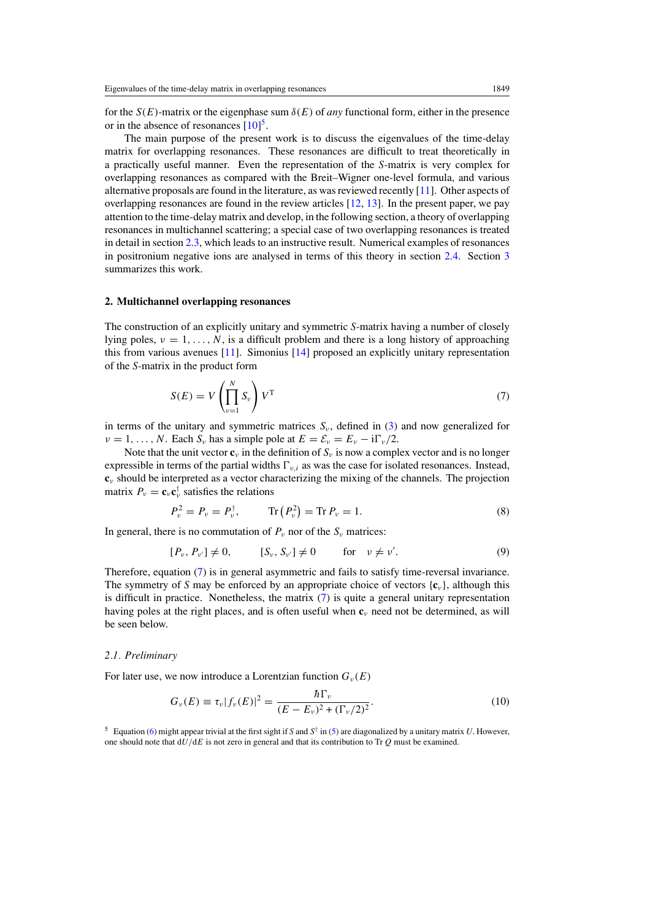<span id="page-2-0"></span>for the  $S(E)$ -matrix or the eigenphase sum  $\delta(E)$  of *any* functional form, either in the presence or in the absence of resonances  $[10]$ <sup>5</sup>.

The main purpose of the present work is to discuss the eigenvalues of the time-delay matrix for overlapping resonances. These resonances are difficult to treat theoretically in a practically useful manner. Even the representation of the *S*-matrix is very complex for overlapping resonances as compared with the Breit–Wigner one-level formula, and various alternative proposals are found in the literature, as was reviewed recently [\[11](#page-7-0)]. Other aspects of overlapping resonances are found in the review articles [\[12,](#page-7-0) [13](#page-7-0)]. In the present paper, we pay attention to the time-delay matrix and develop, in the following section, a theory of overlapping resonances in multichannel scattering; a special case of two overlapping resonances is treated in detail in section [2.3,](#page-4-0) which leads to an instructive result. Numerical examples of resonances in positronium negative ions are analysed in terms of this theory in section [2.4.](#page-5-0) Section [3](#page-6-0) summarizes this work.

#### **2. Multichannel overlapping resonances**

The construction of an explicitly unitary and symmetric *S*-matrix having a number of closely lying poles,  $v = 1, \ldots, N$ , is a difficult problem and there is a long history of approaching this from various avenues [\[11\]](#page-7-0). Simonius [\[14](#page-7-0)] proposed an explicitly unitary representation of the *S*-matrix in the product form

$$
S(E) = V \left(\prod_{\nu=1}^{N} S_{\nu}\right) V^{T}
$$
\n(7)

in terms of the unitary and symmetric matrices  $S_v$ , defined in [\(3\)](#page-1-0) and now generalized for *ν* = 1, ..., *N*. Each *S<sub>ν</sub>* has a simple pole at  $E = \mathcal{E}_v = E_v - i\Gamma_v/2$ .

Note that the unit vector  $\mathbf{c}_v$  in the definition of  $S_v$  is now a complex vector and is no longer expressible in terms of the partial widths  $\Gamma_{v,i}$  as was the case for isolated resonances. Instead, **c***<sup>ν</sup>* should be interpreted as a vector characterizing the mixing of the channels. The projection matrix  $P_v = \mathbf{c}_v \mathbf{c}_v^{\dagger}$  satisfies the relations

$$
P_{\nu}^{2} = P_{\nu} = P_{\nu}^{\dagger}, \qquad \text{Tr}\left(P_{\nu}^{2}\right) = \text{Tr}\,P_{\nu} = 1. \tag{8}
$$

In general, there is no commutation of  $P_\nu$  nor of the  $S_\nu$  matrices:

$$
[P_{\nu}, P_{\nu'}] \neq 0,
$$
  $[S_{\nu}, S_{\nu'}] \neq 0$  for  $\nu \neq \nu'.$  (9)

Therefore, equation (7) is in general asymmetric and fails to satisfy time-reversal invariance. The symmetry of *S* may be enforced by an appropriate choice of vectors  $\{c_v\}$ , although this is difficult in practice. Nonetheless, the matrix  $(7)$  is quite a general unitary representation having poles at the right places, and is often useful when **c***<sup>ν</sup>* need not be determined, as will be seen below.

## *2.1. Preliminary*

For later use, we now introduce a Lorentzian function  $G_\nu(E)$ 

$$
G_{\nu}(E) \equiv \tau_{\nu} |f_{\nu}(E)|^2 = \frac{\hbar \Gamma_{\nu}}{(E - E_{\nu})^2 + (\Gamma_{\nu}/2)^2}.
$$
 (10)

<sup>5</sup> Equation [\(6\)](#page-1-0) might appear trivial at the first sight if *S* and *S*† in [\(5\)](#page-1-0) are diagonalized by a unitary matrix *U*. However, one should note that d*U/*d*E* is not zero in general and that its contribution to Tr *Q* must be examined.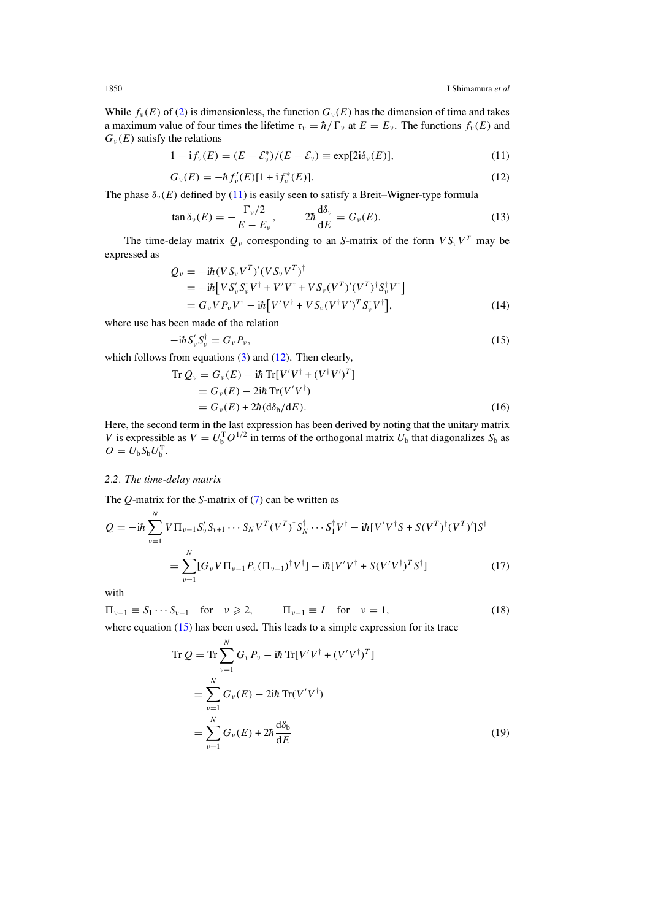<span id="page-3-0"></span>While  $f_\nu(E)$  of [\(2\)](#page-1-0) is dimensionless, the function  $G_\nu(E)$  has the dimension of time and takes a maximum value of four times the lifetime  $\tau_{\nu} = \hbar / \Gamma_{\nu}$  at  $E = E_{\nu}$ . The functions  $f_{\nu}(E)$  and  $G_{\nu}(E)$  satisfy the relations

$$
1 - \mathrm{i} f_v(E) = (E - \mathcal{E}_v^*)/(E - \mathcal{E}_v) \equiv \exp[2\mathrm{i}\delta_v(E)],\tag{11}
$$

$$
G_{\nu}(E) = -\hbar f_{\nu}'(E)[1 + i f_{\nu}^*(E)].
$$
\n(12)

The phase  $\delta_{\nu}(E)$  defined by (11) is easily seen to satisfy a Breit–Wigner-type formula

$$
\tan \delta_{\nu}(E) = -\frac{\Gamma_{\nu}/2}{E - E_{\nu}}, \qquad 2\hbar \frac{d\delta_{\nu}}{dE} = G_{\nu}(E). \tag{13}
$$

The time-delay matrix  $Q_v$  corresponding to an *S*-matrix of the form  $VS_vV^T$  may be expressed as

$$
Q_{\nu} = -i\hbar (VS_{\nu}V^{T})'(VS_{\nu}V^{T})^{\dagger}
$$
  
=  $-i\hbar [V S_{\nu}' S_{\nu}^{\dagger} V^{\dagger} + V'V^{\dagger} + VS_{\nu} (V^{T})'(V^{T})^{\dagger} S_{\nu}^{\dagger} V^{\dagger}]$   
=  $G_{\nu} VP_{\nu} V^{\dagger} - i\hbar [V'V^{\dagger} + VS_{\nu} (V^{\dagger}V')^{T} S_{\nu}^{\dagger} V^{\dagger}],$  (14)

where use has been made of the relation

$$
-\mathrm{i}\hbar S_{\nu}' S_{\nu}^{\dagger} = G_{\nu} P_{\nu},\tag{15}
$$

which follows from equations  $(3)$  and  $(12)$ . Then clearly,

$$
\operatorname{Tr} Q_{\nu} = G_{\nu}(E) - i\hbar \operatorname{Tr}[V'V^{\dagger} + (V^{\dagger}V')^{T}]
$$
  
=  $G_{\nu}(E) - 2i\hbar \operatorname{Tr}(V'V^{\dagger})$   
=  $G_{\nu}(E) + 2\hbar (d\delta_{b}/dE).$  (16)

Here, the second term in the last expression has been derived by noting that the unitary matrix *V* is expressible as  $V = U_b^T O^{1/2}$  in terms of the orthogonal matrix  $U_b$  that diagonalizes  $S_b$  as  $O = U<sub>b</sub> S<sub>b</sub> U<sub>b</sub><sup>T</sup>.$ 

## *2.2. The time-delay matrix*

The *Q*-matrix for the *S*-matrix of [\(7\)](#page-2-0) can be written as

$$
Q = -i\hbar \sum_{\nu=1}^{N} V \Pi_{\nu-1} S_{\nu}' S_{\nu+1} \cdots S_{N} V^{T} (V^{T})^{\dagger} S_{N}^{\dagger} \cdots S_{1}^{\dagger} V^{\dagger} - i\hbar [V'V^{\dagger} S + S(V^{T})^{\dagger} (V^{T})'] S^{\dagger}
$$
  
= 
$$
\sum_{\nu=1}^{N} [G_{\nu} V \Pi_{\nu-1} P_{\nu} (\Pi_{\nu-1})^{\dagger} V^{\dagger}] - i\hbar [V'V^{\dagger} + S(V'V^{\dagger})^{T} S^{\dagger}]
$$
(17)

with

$$
\Pi_{\nu-1} \equiv S_1 \cdots S_{\nu-1} \quad \text{for} \quad \nu \geqslant 2, \qquad \Pi_{\nu-1} \equiv I \quad \text{for} \quad \nu = 1,\tag{18}
$$

where equation (15) has been used. This leads to a simple expression for its trace

$$
\operatorname{Tr} Q = \operatorname{Tr} \sum_{\nu=1}^{N} G_{\nu} P_{\nu} - i\hbar \operatorname{Tr} [V'V^{\dagger} + (V'V^{\dagger})^{T}]
$$
  
\n
$$
= \sum_{\nu=1}^{N} G_{\nu}(E) - 2i\hbar \operatorname{Tr} (V'V^{\dagger})
$$
  
\n
$$
= \sum_{\nu=1}^{N} G_{\nu}(E) + 2\hbar \frac{d\delta_{b}}{dE}
$$
 (19)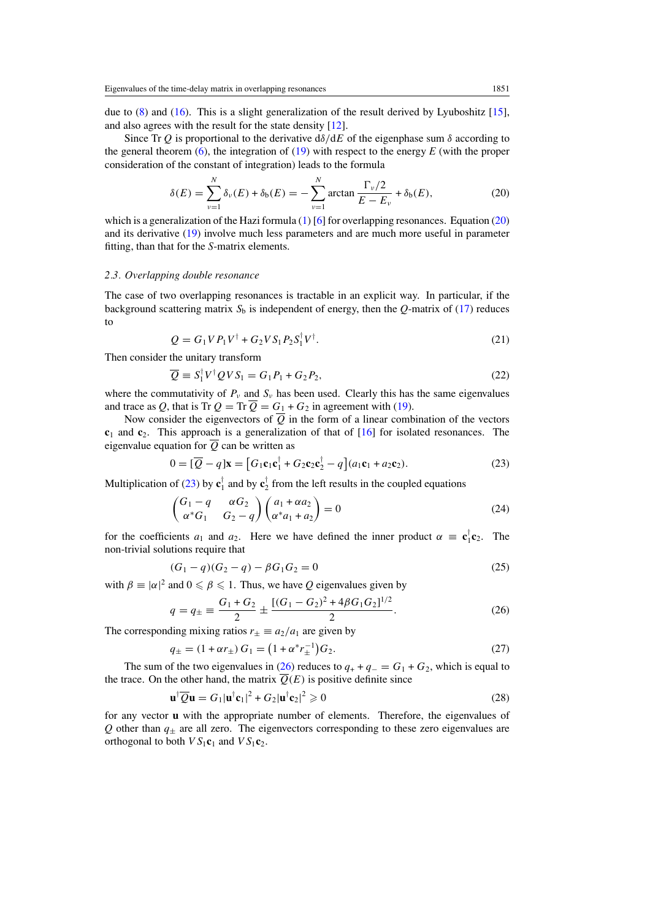<span id="page-4-0"></span>due to [\(8\)](#page-2-0) and [\(16\)](#page-3-0). This is a slight generalization of the result derived by Lyuboshitz [\[15\]](#page-7-0), and also agrees with the result for the state density [\[12\]](#page-7-0).

Since Tr *Q* is proportional to the derivative d*δ/*d*E* of the eigenphase sum *δ* according to the general theorem  $(6)$ , the integration of  $(19)$  with respect to the energy *E* (with the proper consideration of the constant of integration) leads to the formula

$$
\delta(E) = \sum_{\nu=1}^{N} \delta_{\nu}(E) + \delta_{\rm b}(E) = -\sum_{\nu=1}^{N} \arctan \frac{\Gamma_{\nu}/2}{E - E_{\nu}} + \delta_{\rm b}(E), \tag{20}
$$

which is a generalization of the Hazi formula  $(1)$  [\[6\]](#page-7-0) for overlapping resonances. Equation (20) and its derivative [\(19\)](#page-3-0) involve much less parameters and are much more useful in parameter fitting, than that for the *S*-matrix elements.

#### *2.3. Overlapping double resonance*

The case of two overlapping resonances is tractable in an explicit way. In particular, if the background scattering matrix  $S_b$  is independent of energy, then the *Q*-matrix of [\(17\)](#page-3-0) reduces to

$$
Q = G_1 V P_1 V^{\dagger} + G_2 V S_1 P_2 S_1^{\dagger} V^{\dagger}.
$$
 (21)

Then consider the unitary transform

$$
\overline{Q} \equiv S_1^{\dagger} V^{\dagger} Q V S_1 = G_1 P_1 + G_2 P_2, \tag{22}
$$

where the commutativity of  $P_\nu$  and  $S_\nu$  has been used. Clearly this has the same eigenvalues and trace as Q, that is Tr  $Q = Tr \overline{Q} = G_1 + G_2$  in agreement with [\(19\)](#page-3-0).

Now consider the eigenvectors of  $\overline{Q}$  in the form of a linear combination of the vectors **c**<sup>1</sup> and **c**2. This approach is a generalization of that of [\[16\]](#page-7-0) for isolated resonances. The eigenvalue equation for  $\overline{Q}$  can be written as

$$
0 = [\overline{Q} - q] \mathbf{x} = [G_1 \mathbf{c}_1 \mathbf{c}_1^\dagger + G_2 \mathbf{c}_2 \mathbf{c}_2^\dagger - q] (a_1 \mathbf{c}_1 + a_2 \mathbf{c}_2). \tag{23}
$$

Multiplication of (23) by  $\mathbf{c}_1^{\mathsf{T}}$  and by  $\mathbf{c}_2^{\mathsf{T}}$  from the left results in the coupled equations

$$
\begin{pmatrix}\nG_1 - q & \alpha G_2 \\
\alpha^* G_1 & G_2 - q\n\end{pmatrix}\n\begin{pmatrix}\na_1 + \alpha a_2 \\
\alpha^* a_1 + a_2\n\end{pmatrix} = 0
$$
\n(24)

for the coefficients  $a_1$  and  $a_2$ . Here we have defined the inner product  $\alpha \equiv \mathbf{c}_1^{\mathsf{T}} \mathbf{c}_2$ . The non-trivial solutions require that

$$
(G_1 - q)(G_2 - q) - \beta G_1 G_2 = 0 \tag{25}
$$

with  $\beta \equiv |\alpha|^2$  and  $0 \le \beta \le 1$ . Thus, we have *Q* eigenvalues given by

$$
q = q_{\pm} \equiv \frac{G_1 + G_2}{2} \pm \frac{[(G_1 - G_2)^2 + 4\beta G_1 G_2]^{1/2}}{2}.
$$
 (26)

The corresponding mixing ratios  $r_{+} \equiv a_{2}/a_{1}$  are given by

$$
q_{\pm} = (1 + \alpha r_{\pm}) G_1 = (1 + \alpha^* r_{\pm}^{-1}) G_2. \tag{27}
$$

The sum of the two eigenvalues in (26) reduces to  $q_+ + q_- = G_1 + G_2$ , which is equal to the trace. On the other hand, the matrix  $\overline{Q}(E)$  is positive definite since

$$
\mathbf{u}^{\dagger}\overline{Q}\mathbf{u} = G_1|\mathbf{u}^{\dagger}\mathbf{c}_1|^2 + G_2|\mathbf{u}^{\dagger}\mathbf{c}_2|^2 \geqslant 0
$$
\n(28)

for any vector **u** with the appropriate number of elements. Therefore, the eigenvalues of  $Q$  other than  $q_{\pm}$  are all zero. The eigenvectors corresponding to these zero eigenvalues are orthogonal to both  $VS_1c_1$  and  $VS_1c_2$ .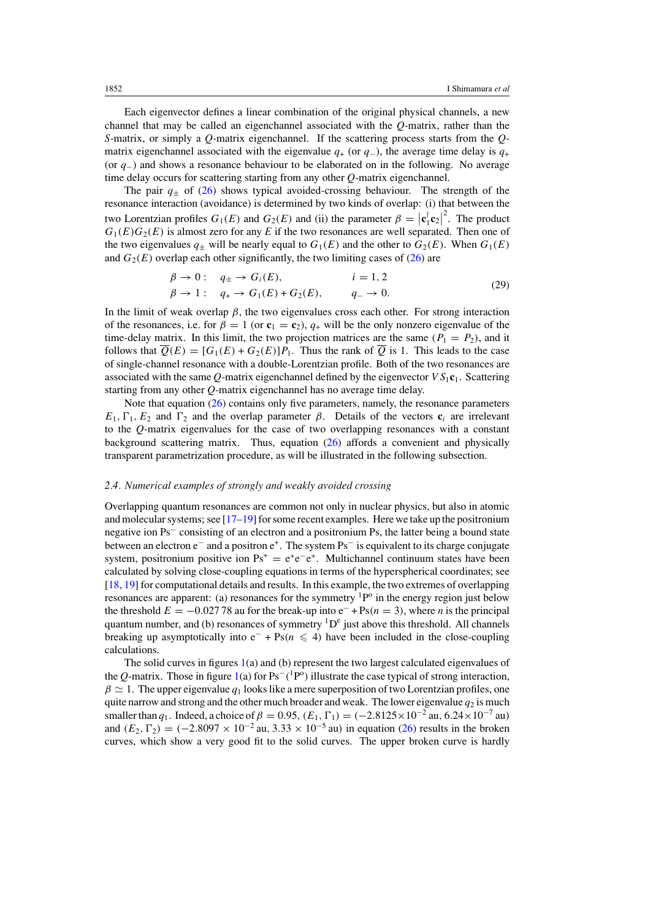<span id="page-5-0"></span>Each eigenvector defines a linear combination of the original physical channels, a new channel that may be called an eigenchannel associated with the *Q*-matrix, rather than the *S*-matrix, or simply a *Q*-matrix eigenchannel. If the scattering process starts from the *Q*matrix eigenchannel associated with the eigenvalue  $q_{+}$  (or  $q_{-}$ ), the average time delay is  $q_{+}$ (or *q*−) and shows a resonance behaviour to be elaborated on in the following. No average time delay occurs for scattering starting from any other *Q*-matrix eigenchannel.

The pair  $q_{+}$  of [\(26\)](#page-4-0) shows typical avoided-crossing behaviour. The strength of the resonance interaction (avoidance) is determined by two kinds of overlap: (i) that between the two Lorentzian profiles  $G_1(E)$  and  $G_2(E)$  and (ii) the parameter  $\beta = |\mathbf{c}_1^{\dagger} \mathbf{c}_2|$  $2$ . The product  $G_1(E)G_2(E)$  is almost zero for any *E* if the two resonances are well separated. Then one of the two eigenvalues  $q_{\pm}$  will be nearly equal to  $G_1(E)$  and the other to  $G_2(E)$ . When  $G_1(E)$ and  $G_2(E)$  overlap each other significantly, the two limiting cases of  $(26)$  are

$$
\begin{aligned}\n\beta \to 0: \quad & q_{\pm} \to G_i(E), & i &= 1, 2 \\
\beta \to 1: \quad & q_{+} \to G_1(E) + G_2(E), & q_{-} \to 0.\n\end{aligned} \tag{29}
$$

In the limit of weak overlap  $\beta$ , the two eigenvalues cross each other. For strong interaction of the resonances, i.e. for  $\beta = 1$  (or  $\mathbf{c}_1 = \mathbf{c}_2$ ),  $q_+$  will be the only nonzero eigenvalue of the time-delay matrix. In this limit, the two projection matrices are the same  $(P_1 = P_2)$ , and it follows that  $\overline{Q}(E) = [G_1(E) + G_2(E)]P_1$ . Thus the rank of  $\overline{Q}$  is 1. This leads to the case of single-channel resonance with a double-Lorentzian profile. Both of the two resonances are associated with the same *Q*-matrix eigenchannel defined by the eigenvector  $VS_1c_1$ . Scattering starting from any other *Q*-matrix eigenchannel has no average time delay.

Note that equation [\(26\)](#page-4-0) contains only five parameters, namely, the resonance parameters *E*<sub>1</sub>,  $\Gamma$ <sub>1</sub>, *E*<sub>2</sub> and  $\Gamma$ <sub>2</sub> and the overlap parameter *β*. Details of the vectors **c**<sub>*i*</sub> are irrelevant to the *Q*-matrix eigenvalues for the case of two overlapping resonances with a constant background scattering matrix. Thus, equation [\(26\)](#page-4-0) affords a convenient and physically transparent parametrization procedure, as will be illustrated in the following subsection.

## *2.4. Numerical examples of strongly and weakly avoided crossing*

Overlapping quantum resonances are common not only in nuclear physics, but also in atomic and molecular systems; see [\[17–19\]](#page-7-0) for some recent examples. Here we take up the positronium negative ion Ps<sup>−</sup> consisting of an electron and a positronium Ps, the latter being a bound state between an electron e<sup>−</sup> and a positron e+. The system Ps<sup>−</sup> is equivalent to its charge conjugate system, positronium positive ion  $\text{Ps}^+ = e^+e^-e^+$ . Multichannel continuum states have been calculated by solving close-coupling equations in terms of the hyperspherical coordinates; see [\[18](#page-7-0), [19\]](#page-7-0) for computational details and results. In this example, the two extremes of overlapping resonances are apparent: (a) resonances for the symmetry  ${}^{1}P^{o}$  in the energy region just below the threshold  $E = -0.02778$  au for the break-up into  $e^- + Ps(n = 3)$ , where *n* is the principal quantum number, and (b) resonances of symmetry  ${}^{1}D^{e}$  just above this threshold. All channels breaking up asymptotically into  $e^- + Ps(n \leq 4)$  have been included in the close-coupling calculations.

The solid curves in figures [1\(](#page-6-0)a) and (b) represent the two largest calculated eigenvalues of the *Q*-matrix. Those in figure [1\(](#page-6-0)a) for Ps<sup>−</sup>*(*1Po *)* illustrate the case typical of strong interaction,  $\beta \simeq 1$ . The upper eigenvalue  $q_1$  looks like a mere superposition of two Lorentzian profiles, one quite narrow and strong and the other much broader and weak. The lower eigenvalue  $q_2$  is much smaller than  $q_1$ . Indeed, a choice of  $\beta = 0.95$ ,  $(E_1, \Gamma_1) = (-2.8125 \times 10^{-2} \text{ au}, 6.24 \times 10^{-7} \text{ au})$ and  $(E_2, \Gamma_2) = (-2.8097 \times 10^{-2} \text{ au}, 3.33 \times 10^{-5} \text{ au})$  in equation [\(26\)](#page-4-0) results in the broken curves, which show a very good fit to the solid curves. The upper broken curve is hardly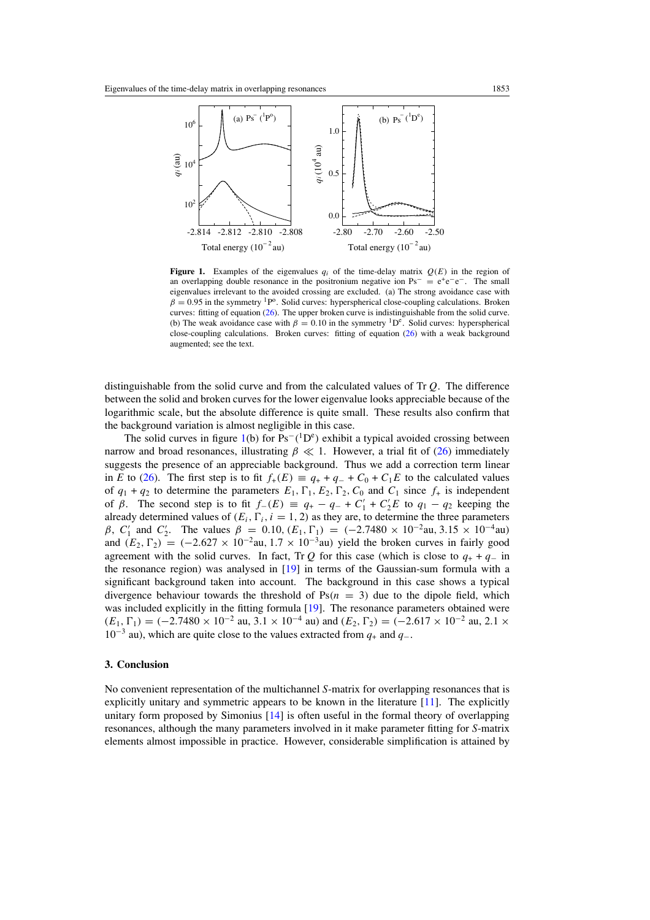<span id="page-6-0"></span>

**Figure 1.** Examples of the eigenvalues  $q_i$  of the time-delay matrix  $Q(E)$  in the region of an overlapping double resonance in the positronium negative ion  $Ps^- = e^+e^-e^-$ . The small eigenvalues irrelevant to the avoided crossing are excluded. (a) The strong avoidance case with  $\beta = 0.95$  in the symmetry <sup>1</sup>P<sup>o</sup>. Solid curves: hyperspherical close-coupling calculations. Broken curves: fitting of equation [\(26\)](#page-4-0). The upper broken curve is indistinguishable from the solid curve. (b) The weak avoidance case with  $\beta = 0.10$  in the symmetry <sup>1</sup>D<sup>e</sup>. Solid curves: hyperspherical close-coupling calculations. Broken curves: fitting of equation [\(26\)](#page-4-0) with a weak background augmented; see the text.

distinguishable from the solid curve and from the calculated values of Tr *Q*. The difference between the solid and broken curves for the lower eigenvalue looks appreciable because of the logarithmic scale, but the absolute difference is quite small. These results also confirm that the background variation is almost negligible in this case.

The solid curves in figure  $1(b)$  for  $Ps<sup>-1</sup>(h<sup>c</sup>)$  exhibit a typical avoided crossing between narrow and broad resonances, illustrating  $\beta \ll 1$ . However, a trial fit of [\(26\)](#page-4-0) immediately suggests the presence of an appreciable background. Thus we add a correction term linear in *E* to [\(26\)](#page-4-0). The first step is to fit  $f_+(E) \equiv q_+ + q_- + C_0 + C_1E$  to the calculated values of  $q_1 + q_2$  to determine the parameters  $E_1, \Gamma_1, E_2, \Gamma_2, C_0$  and  $C_1$  since  $f_+$  is independent of *β*. The second step is to fit  $f_-(E) \equiv q_+ - q_- + C'_1 + C'_2E$  to  $q_1 - q_2$  keeping the already determined values of  $(E_i, \Gamma_i, i = 1, 2)$  as they are, to determine the three parameters *β*, *C*<sub>1</sub><sup>'</sup> and *C*<sub>2</sub><sup>'</sup>. The values  $β = 0.10$ ,  $(E_1, \Gamma_1) = (-2.7480 \times 10^{-2} \text{au}, 3.15 \times 10^{-4} \text{au})$ and  $(E_2, \Gamma_2) = (-2.627 \times 10^{-2} \text{au}, 1.7 \times 10^{-3} \text{au})$  yield the broken curves in fairly good agreement with the solid curves. In fact, Tr  $Q$  for this case (which is close to  $q_+ + q_-\$  in the resonance region) was analysed in [\[19](#page-7-0)] in terms of the Gaussian-sum formula with a significant background taken into account. The background in this case shows a typical divergence behaviour towards the threshold of  $Ps(n = 3)$  due to the dipole field, which was included explicitly in the fitting formula [\[19\]](#page-7-0). The resonance parameters obtained were  $(E_1, \Gamma_1) = (-2.7480 \times 10^{-2} \text{ au}, 3.1 \times 10^{-4} \text{ au}) \text{ and } (E_2, \Gamma_2) = (-2.617 \times 10^{-2} \text{ au}, 2.1 \times 10^{-4} \text{ au}) \text{ and } (E_2, \Gamma_2) = (-2.617 \times 10^{-2} \text{ au}, 2.1 \times 10^{-4} \text{ au}) \text{ and } (E_2, \Gamma_2) = (-2.617 \times 10^{-2} \text{ au}, 2.1 \times 10^{-4} \text{ au}) \text{ and } (E_2, \Gamma_2) = ( 10^{-3}$  au), which are quite close to the values extracted from  $q_+$  and  $q_-$ .

## **3. Conclusion**

No convenient representation of the multichannel *S*-matrix for overlapping resonances that is explicitly unitary and symmetric appears to be known in the literature  $[11]$  $[11]$ . The explicitly unitary form proposed by Simonius [\[14](#page-7-0)] is often useful in the formal theory of overlapping resonances, although the many parameters involved in it make parameter fitting for *S*-matrix elements almost impossible in practice. However, considerable simplification is attained by